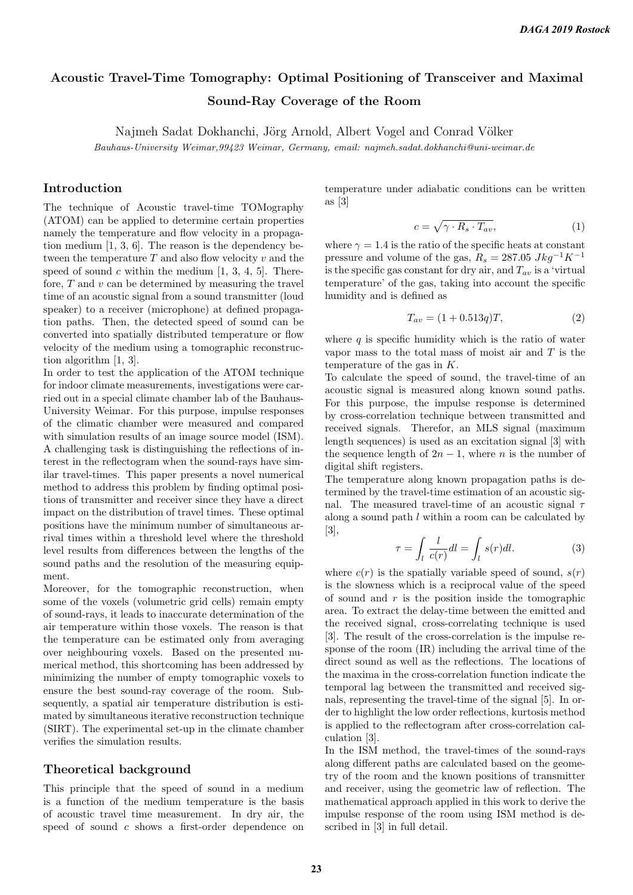# Acoustic Travel-Time Tomography: Optimal Positioning of Transceiver and Maximal Sound-Ray Coverage of the Room

Najmeh Sadat Dokhanchi, Jörg Arnold, Albert Vogel and Conrad Völker

Bauhaus-University Weimar,99423 Weimar, Germany, email: najmeh.sadat.dokhanchi@uni-weimar.de

## Introduction

The technique of Acoustic travel-time TOMography (ATOM) can be applied to determine certain properties namely the temperature and flow velocity in a propagation medium [1, 3, 6]. The reason is the dependency between the temperature  $T$  and also flow velocity  $v$  and the speed of sound c within the medium  $[1, 3, 4, 5]$ . Therefore,  $T$  and  $v$  can be determined by measuring the travel time of an acoustic signal from a sound transmitter (loud speaker) to a receiver (microphone) at defined propagation paths. Then, the detected speed of sound can be converted into spatially distributed temperature or flow velocity of the medium using a tomographic reconstruction algorithm [1, 3].

In order to test the application of the ATOM technique for indoor climate measurements, investigations were carried out in a special climate chamber lab of the Bauhaus-University Weimar. For this purpose, impulse responses of the climatic chamber were measured and compared with simulation results of an image source model (ISM). A challenging task is distinguishing the reflections of interest in the reflectogram when the sound-rays have similar travel-times. This paper presents a novel numerical method to address this problem by finding optimal positions of transmitter and receiver since they have a direct impact on the distribution of travel times. These optimal positions have the minimum number of simultaneous arrival times within a threshold level where the threshold level results from differences between the lengths of the sound paths and the resolution of the measuring equipment.

Moreover, for the tomographic reconstruction, when some of the voxels (volumetric grid cells) remain empty of sound-rays, it leads to inaccurate determination of the air temperature within those voxels. The reason is that the temperature can be estimated only from averaging over neighbouring voxels. Based on the presented numerical method, this shortcoming has been addressed by minimizing the number of empty tomographic voxels to ensure the best sound-ray coverage of the room. Subsequently, a spatial air temperature distribution is estimated by simultaneous iterative reconstruction technique (SIRT). The experimental set-up in the climate chamber verifies the simulation results.

#### Theoretical background

This principle that the speed of sound in a medium is a function of the medium temperature is the basis of acoustic travel time measurement. In dry air, the speed of sound c shows a first-order dependence on temperature under adiabatic conditions can be written as [3]

$$
c = \sqrt{\gamma \cdot R_s \cdot T_{av}},\tag{1}
$$

where  $\gamma = 1.4$  is the ratio of the specific heats at constant pressure and volume of the gas,  $R_s = 287.05 \; Jkg^{-1}K^{-1}$ is the specific gas constant for dry air, and  $T_{av}$  is a 'virtual temperature' of the gas, taking into account the specific humidity and is defined as

$$
T_{av} = (1 + 0.513q)T, \t\t(2)
$$

where  $q$  is specific humidity which is the ratio of water vapor mass to the total mass of moist air and T is the temperature of the gas in K.

To calculate the speed of sound, the travel-time of an acoustic signal is measured along known sound paths. For this purpose, the impulse response is determined by cross-correlation technique between transmitted and received signals. Therefor, an MLS signal (maximum length sequences) is used as an excitation signal [3] with the sequence length of  $2n - 1$ , where n is the number of digital shift registers.

The temperature along known propagation paths is determined by the travel-time estimation of an acoustic signal. The measured travel-time of an acoustic signal  $\tau$ along a sound path  $l$  within a room can be calculated by [3],

$$
\tau = \int_{l} \frac{l}{c(r)} dl = \int_{l} s(r) dl.
$$
 (3)

where  $c(r)$  is the spatially variable speed of sound,  $s(r)$ is the slowness which is a reciprocal value of the speed of sound and  $r$  is the position inside the tomographic area. To extract the delay-time between the emitted and the received signal, cross-correlating technique is used [3]. The result of the cross-correlation is the impulse response of the room (IR) including the arrival time of the direct sound as well as the reflections. The locations of the maxima in the cross-correlation function indicate the temporal lag between the transmitted and received signals, representing the travel-time of the signal [5]. In order to highlight the low order reflections, kurtosis method is applied to the reflectogram after cross-correlation calculation [3].

In the ISM method, the travel-times of the sound-rays along different paths are calculated based on the geometry of the room and the known positions of transmitter and receiver, using the geometric law of reflection. The mathematical approach applied in this work to derive the impulse response of the room using ISM method is described in [3] in full detail.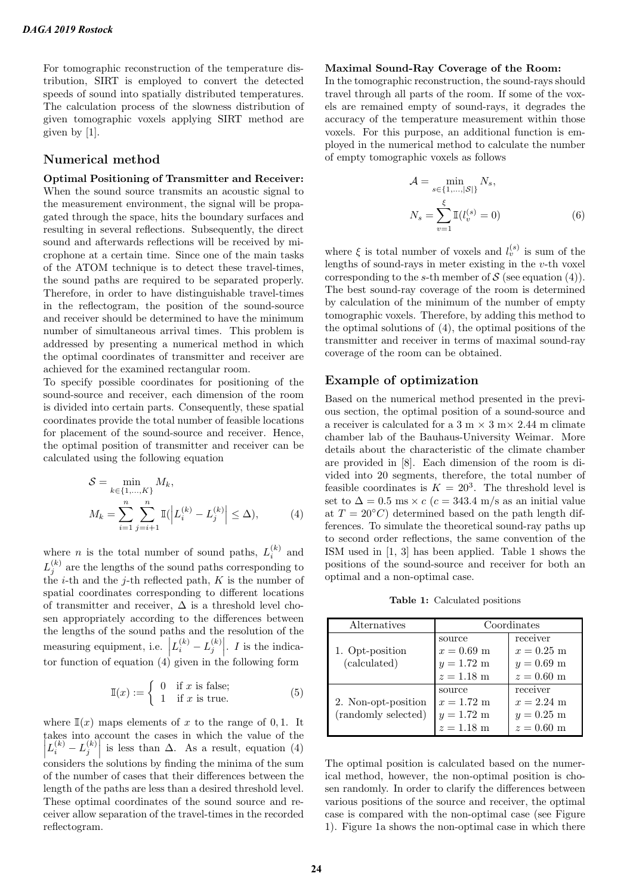For tomographic reconstruction of the temperature distribution, SIRT is employed to convert the detected speeds of sound into spatially distributed temperatures. The calculation process of the slowness distribution of given tomographic voxels applying SIRT method are given by [1].

# Numerical method

Optimal Positioning of Transmitter and Receiver: When the sound source transmits an acoustic signal to the measurement environment, the signal will be propagated through the space, hits the boundary surfaces and resulting in several reflections. Subsequently, the direct sound and afterwards reflections will be received by microphone at a certain time. Since one of the main tasks of the ATOM technique is to detect these travel-times, the sound paths are required to be separated properly. Therefore, in order to have distinguishable travel-times in the reflectogram, the position of the sound-source and receiver should be determined to have the minimum number of simultaneous arrival times. This problem is addressed by presenting a numerical method in which the optimal coordinates of transmitter and receiver are achieved for the examined rectangular room.

To specify possible coordinates for positioning of the sound-source and receiver, each dimension of the room is divided into certain parts. Consequently, these spatial coordinates provide the total number of feasible locations for placement of the sound-source and receiver. Hence, the optimal position of transmitter and receiver can be calculated using the following equation

$$
S = \min_{k \in \{1, ..., K\}} M_k,
$$
  
\n
$$
M_k = \sum_{i=1}^n \sum_{j=i+1}^n \mathbb{I}(\left| L_i^{(k)} - L_j^{(k)} \right| \le \Delta),
$$
\n(4)

where *n* is the total number of sound paths,  $L_i^{(k)}$  and  $L_j^{(k)}$  are the lengths of the sound paths corresponding to the *i*-th and the *j*-th reflected path,  $K$  is the number of spatial coordinates corresponding to different locations of transmitter and receiver,  $\Delta$  is a threshold level chosen appropriately according to the differences between the lengths of the sound paths and the resolution of the measuring equipment, i.e.  $\left| L_i^{(k)} - L_j^{(k)} \right|$ . *I* is the indicator function of equation  $(4)$  given in the following form

$$
\mathbb{I}(x) := \begin{cases} 0 & \text{if } x \text{ is false;} \\ 1 & \text{if } x \text{ is true.} \end{cases}
$$
 (5)

where  $\mathbb{I}(x)$  maps elements of x to the range of 0,1. It takes into account the cases in which the value of the  $\left| L_i^{(k)} - L_j^{(k)} \right|$  is less than  $\Delta$ . As a result, equation (4) considers the solutions by finding the minima of the sum of the number of cases that their differences between the length of the paths are less than a desired threshold level. These optimal coordinates of the sound source and receiver allow separation of the travel-times in the recorded reflectogram.

#### Maximal Sound-Ray Coverage of the Room:

In the tomographic reconstruction, the sound-rays should travel through all parts of the room. If some of the voxels are remained empty of sound-rays, it degrades the accuracy of the temperature measurement within those voxels. For this purpose, an additional function is employed in the numerical method to calculate the number of empty tomographic voxels as follows

$$
\mathcal{A} = \min_{s \in \{1, ..., |\mathcal{S}|\}} N_s, \nN_s = \sum_{v=1}^{\xi} \mathbb{I}(l_v^{(s)} = 0)
$$
\n(6)

where  $\xi$  is total number of voxels and  $l_v^{(s)}$  is sum of the lengths of sound-rays in meter existing in the  $v$ -th voxel corresponding to the s-th member of  $S$  (see equation (4)). The best sound-ray coverage of the room is determined by calculation of the minimum of the number of empty tomographic voxels. Therefore, by adding this method to the optimal solutions of (4), the optimal positions of the transmitter and receiver in terms of maximal sound-ray coverage of the room can be obtained.

# Example of optimization

Based on the numerical method presented in the previous section, the optimal position of a sound-source and a receiver is calculated for a 3 m  $\times$  3 m $\times$  2.44 m climate chamber lab of the Bauhaus-University Weimar. More details about the characteristic of the climate chamber are provided in [8]. Each dimension of the room is divided into 20 segments, therefore, the total number of feasible coordinates is  $K = 20<sup>3</sup>$ . The threshold level is set to  $\Delta = 0.5$  ms  $\times c$  ( $c = 343.4$  m/s as an initial value at  $T = 20\degree C$  determined based on the path length differences. To simulate the theoretical sound-ray paths up to second order reflections, the same convention of the ISM used in [1, 3] has been applied. Table 1 shows the positions of the sound-source and receiver for both an optimal and a non-optimal case.

Table 1: Calculated positions

| Alternatives        | Coordinates          |              |
|---------------------|----------------------|--------------|
|                     | source               | receiver     |
| 1. Opt-position     | $x = 0.69$ m         | $x = 0.25$ m |
| (calculated)        | $y = 1.72$ m         | $y = 0.69$ m |
|                     | $z = 1.18$ m         | $z = 0.60$ m |
|                     | source               | receiver     |
| 2. Non-opt-position | $x = 1.72 \text{ m}$ | $x = 2.24$ m |
| (randomly selected) | $y = 1.72$ m         | $y = 0.25$ m |
|                     | $z = 1.18$ m         | $z = 0.60$ m |

The optimal position is calculated based on the numerical method, however, the non-optimal position is chosen randomly. In order to clarify the differences between various positions of the source and receiver, the optimal case is compared with the non-optimal case (see Figure 1). Figure 1a shows the non-optimal case in which there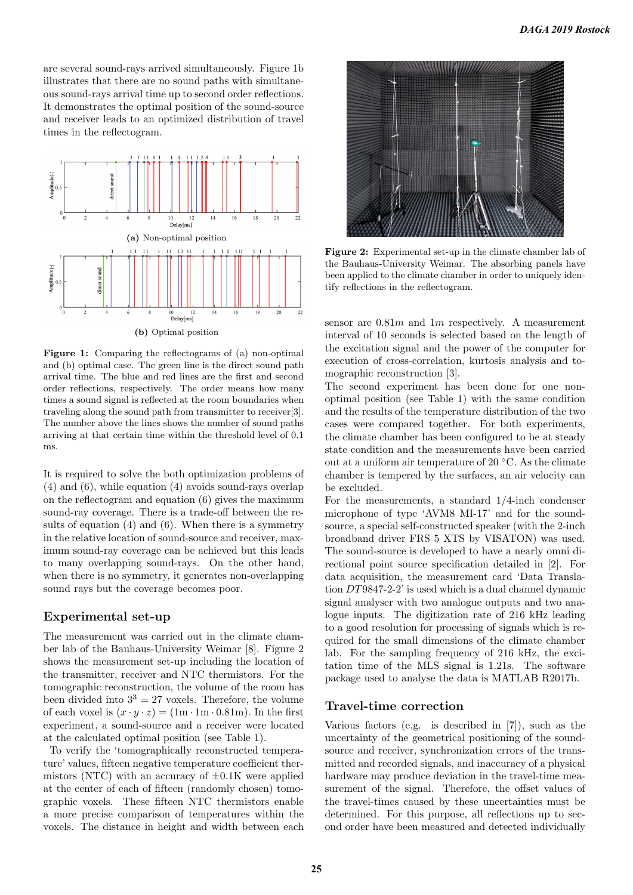are several sound-rays arrived simultaneously. Figure 1b illustrates that there are no sound paths with simultaneous sound-rays arrival time up to second order reflections. It demonstrates the optimal position of the sound-source and receiver leads to an optimized distribution of travel times in the reflectogram.



Figure 1: Comparing the reflectograms of (a) non-optimal and (b) optimal case. The green line is the direct sound path arrival time. The blue and red lines are the first and second order reflections, respectively. The order means how many times a sound signal is reflected at the room boundaries when traveling along the sound path from transmitter to receiver[3]. The number above the lines shows the number of sound paths arriving at that certain time within the threshold level of 0.1 ms.

It is required to solve the both optimization problems of (4) and (6), while equation (4) avoids sound-rays overlap on the reflectogram and equation (6) gives the maximum sound-ray coverage. There is a trade-off between the results of equation (4) and (6). When there is a symmetry in the relative location of sound-source and receiver, maximum sound-ray coverage can be achieved but this leads to many overlapping sound-rays. On the other hand, when there is no symmetry, it generates non-overlapping sound rays but the coverage becomes poor.

## Experimental set-up

The measurement was carried out in the climate chamber lab of the Bauhaus-University Weimar [8]. Figure 2 shows the measurement set-up including the location of the transmitter, receiver and NTC thermistors. For the tomographic reconstruction, the volume of the room has been divided into  $3^3 = 27$  voxels. Therefore, the volume of each voxel is  $(x \cdot y \cdot z) = (1 \text{m} \cdot 1 \text{m} \cdot 0.81 \text{m})$ . In the first experiment, a sound-source and a receiver were located at the calculated optimal position (see Table 1).

To verify the 'tomographically reconstructed temperature' values, fifteen negative temperature coefficient thermistors (NTC) with an accuracy of  $\pm 0.1$ K were applied at the center of each of fifteen (randomly chosen) tomographic voxels. These fifteen NTC thermistors enable a more precise comparison of temperatures within the voxels. The distance in height and width between each



Figure 2: Experimental set-up in the climate chamber lab of the Bauhaus-University Weimar. The absorbing panels have been applied to the climate chamber in order to uniquely identify reflections in the reflectogram.

sensor are  $0.81m$  and  $1m$  respectively. A measurement interval of 10 seconds is selected based on the length of the excitation signal and the power of the computer for execution of cross-correlation, kurtosis analysis and tomographic reconstruction [3].

The second experiment has been done for one nonoptimal position (see Table 1) with the same condition and the results of the temperature distribution of the two cases were compared together. For both experiments, the climate chamber has been configured to be at steady state condition and the measurements have been carried out at a uniform air temperature of 20 ◦C. As the climate chamber is tempered by the surfaces, an air velocity can be excluded.

For the measurements, a standard 1/4-inch condenser microphone of type 'AVM8 MI-17' and for the soundsource, a special self-constructed speaker (with the 2-inch broadband driver FRS 5 XTS by VISATON) was used. The sound-source is developed to have a nearly omni directional point source specification detailed in [2]. For data acquisition, the measurement card 'Data Translation DT9847-2-2' is used which is a dual channel dynamic signal analyser with two analogue outputs and two analogue inputs. The digitization rate of 216 kHz leading to a good resolution for processing of signals which is required for the small dimensions of the climate chamber lab. For the sampling frequency of 216 kHz, the excitation time of the MLS signal is 1.21s. The software package used to analyse the data is MATLAB R2017b.

## Travel-time correction

Various factors (e.g. is described in [7]), such as the uncertainty of the geometrical positioning of the soundsource and receiver, synchronization errors of the transmitted and recorded signals, and inaccuracy of a physical hardware may produce deviation in the travel-time measurement of the signal. Therefore, the offset values of the travel-times caused by these uncertainties must be determined. For this purpose, all reflections up to second order have been measured and detected individually